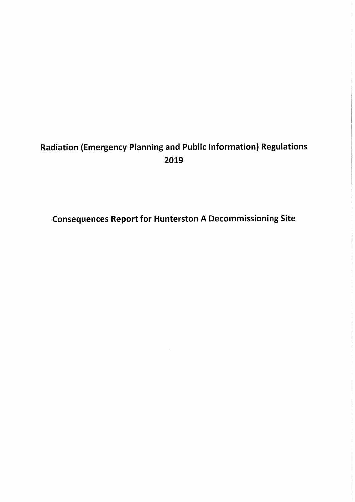## Radiation (Emergency Planning and Public Information) Regulations 2019

Consequences Report for Hunterston A Decommissioning Site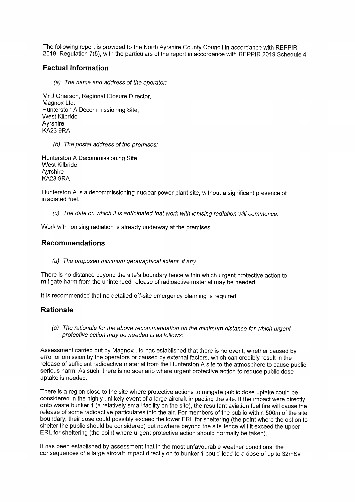The following report is provided to the North Ayrshire County Council in accordance with REPPIR 2019, Regulation 7(5), with the particulars of the report in accordance with REPPIR 2019 Schedule 4.

## Factual Information

(a) The name and address of the operator:

Mr J Grierson, Regional Closure Director, Magnox Ltd., Hunterston A Decommissioning Site, West Kilbride Ayrshire KA23 9RA

(b) The postal address of the premises:

Hunterston A Decommissioning Site, West Kilbride Ayrshire KA23 9RA

Hunterston A is a decommissioning nuclear power plant site, without a significant presence of irradiated fuel.

 $(c)$  The date on which it is anticipated that work with ionising radiation will commence:

Work with ionising radiation is already underway at the premises.

## Recommendations

(a) The proposed minimum geographical extent, if any

There is no distance beyond the site's boundary fence within which urgent protective action to mitigate harm from the unintended release of radioactive material may be needed.

It is recommended that no detailed off-site emergency planning is required.

## Rationale

(a) The rationale for fhe above recommendation on the minimum distance for which urgent protective action may be needed is as follows:

Assessment carried out by Magnox Ltd has established that there is no event, whether caused by error or omission by the operators or caused by external factors, which can credibly result in the<br>release of sufficient radioactive material from the Hunterston A site to the atmosphere to cause public serious harm. As such, there is no scenario where urgent protective action to reduce public dose uptake is needed.

There is a region close to the site where protective actions to mitigate public dose uptake could be considered in the highly unlikely event of a large aircraft impacting the site. If the impact were directly onto waste bunker 1 (a relatively small facility on the site), the resultant aviation fuel fire will cause the release of some radioactive particulates into the air. For members of the public within 500m of the site boundary, their dose could possibly exceed the lower ERL for sheltering (the point where the option to shelter the public should be considered) but nowhere beyond the site fence will it exceed the upper ERL for sheltering (the point where urgent protective action should normally be taken).

It has been established by assessment that in the most unfavourable weather conditions, the consequences of a large aircraft impact directly on to bunker 1 could lead to a dose of up to 32mSv.